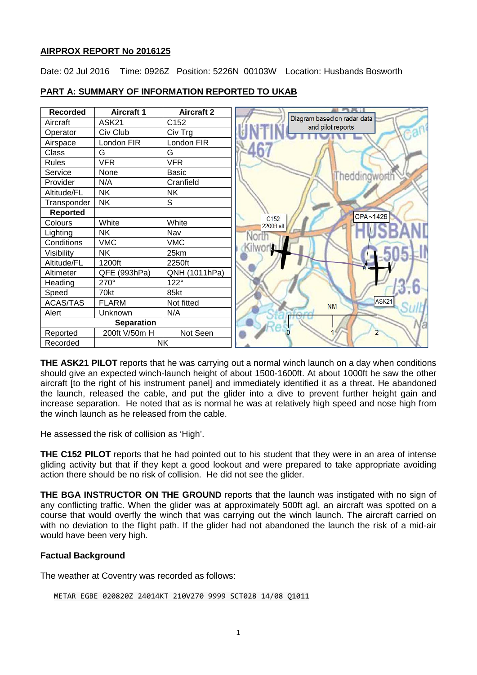## **AIRPROX REPORT No 2016125**

Date: 02 Jul 2016 Time: 0926Z Position: 5226N 00103W Location: Husbands Bosworth



## **PART A: SUMMARY OF INFORMATION REPORTED TO UKAB**

**THE ASK21 PILOT** reports that he was carrying out a normal winch launch on a day when conditions should give an expected winch-launch height of about 1500-1600ft. At about 1000ft he saw the other aircraft [to the right of his instrument panel] and immediately identified it as a threat. He abandoned the launch, released the cable, and put the glider into a dive to prevent further height gain and increase separation. He noted that as is normal he was at relatively high speed and nose high from the winch launch as he released from the cable.

He assessed the risk of collision as 'High'.

**THE C152 PILOT** reports that he had pointed out to his student that they were in an area of intense gliding activity but that if they kept a good lookout and were prepared to take appropriate avoiding action there should be no risk of collision. He did not see the glider.

**THE BGA INSTRUCTOR ON THE GROUND** reports that the launch was instigated with no sign of any conflicting traffic. When the glider was at approximately 500ft agl, an aircraft was spotted on a course that would overfly the winch that was carrying out the winch launch. The aircraft carried on with no deviation to the flight path. If the glider had not abandoned the launch the risk of a mid-air would have been very high.

# **Factual Background**

The weather at Coventry was recorded as follows:

```
METAR EGBE 020820Z 24014KT 210V270 9999 SCT028 14/08 Q1011
```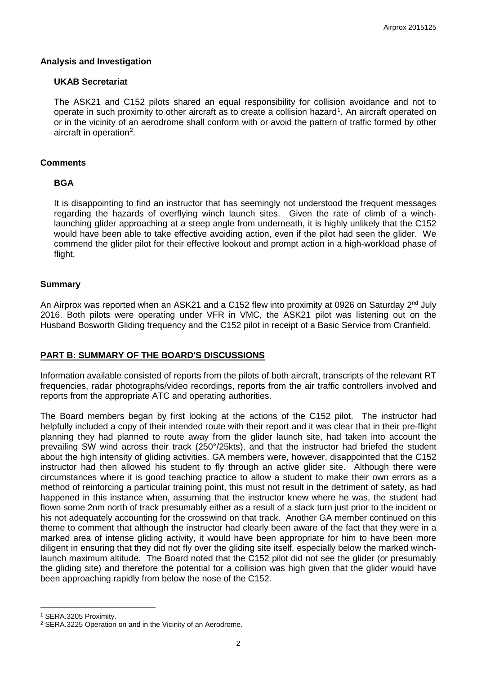#### **Analysis and Investigation**

#### **UKAB Secretariat**

The ASK21 and C152 pilots shared an equal responsibility for collision avoidance and not to operate in such proximity to other aircraft as to create a collision hazard<sup>[1](#page-1-0)</sup>. An aircraft operated on or in the vicinity of an aerodrome shall conform with or avoid the pattern of traffic formed by other aircraft in operation<sup>[2](#page-1-1)</sup>.

#### **Comments**

#### **BGA**

It is disappointing to find an instructor that has seemingly not understood the frequent messages regarding the hazards of overflying winch launch sites. Given the rate of climb of a winchlaunching glider approaching at a steep angle from underneath, it is highly unlikely that the C152 would have been able to take effective avoiding action, even if the pilot had seen the glider. We commend the glider pilot for their effective lookout and prompt action in a high-workload phase of flight.

#### **Summary**

An Airprox was reported when an ASK21 and a C152 flew into proximity at 0926 on Saturday 2<sup>nd</sup> July 2016. Both pilots were operating under VFR in VMC, the ASK21 pilot was listening out on the Husband Bosworth Gliding frequency and the C152 pilot in receipt of a Basic Service from Cranfield.

# **PART B: SUMMARY OF THE BOARD'S DISCUSSIONS**

Information available consisted of reports from the pilots of both aircraft, transcripts of the relevant RT frequencies, radar photographs/video recordings, reports from the air traffic controllers involved and reports from the appropriate ATC and operating authorities.

The Board members began by first looking at the actions of the C152 pilot. The instructor had helpfully included a copy of their intended route with their report and it was clear that in their pre-flight planning they had planned to route away from the glider launch site, had taken into account the prevailing SW wind across their track (250°/25kts), and that the instructor had briefed the student about the high intensity of gliding activities. GA members were, however, disappointed that the C152 instructor had then allowed his student to fly through an active glider site. Although there were circumstances where it is good teaching practice to allow a student to make their own errors as a method of reinforcing a particular training point, this must not result in the detriment of safety, as had happened in this instance when, assuming that the instructor knew where he was, the student had flown some 2nm north of track presumably either as a result of a slack turn just prior to the incident or his not adequately accounting for the crosswind on that track. Another GA member continued on this theme to comment that although the instructor had clearly been aware of the fact that they were in a marked area of intense gliding activity, it would have been appropriate for him to have been more diligent in ensuring that they did not fly over the gliding site itself, especially below the marked winchlaunch maximum altitude. The Board noted that the C152 pilot did not see the glider (or presumably the gliding site) and therefore the potential for a collision was high given that the glider would have been approaching rapidly from below the nose of the C152.

l

<span id="page-1-0"></span><sup>1</sup> SERA.3205 Proximity.

<span id="page-1-1"></span><sup>2</sup> SERA.3225 Operation on and in the Vicinity of an Aerodrome.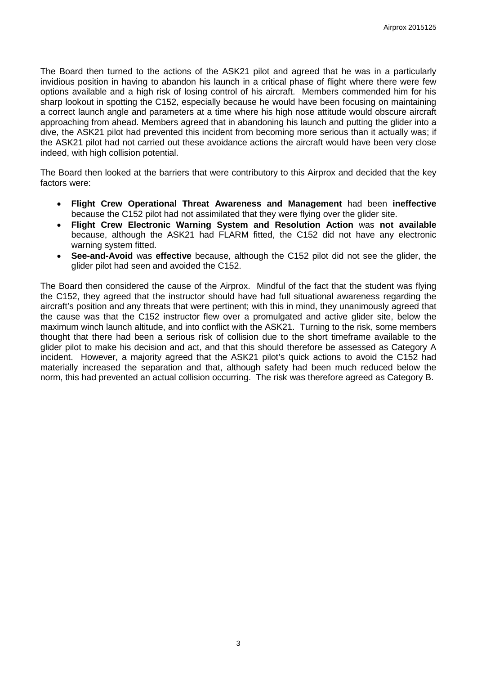The Board then turned to the actions of the ASK21 pilot and agreed that he was in a particularly invidious position in having to abandon his launch in a critical phase of flight where there were few options available and a high risk of losing control of his aircraft. Members commended him for his sharp lookout in spotting the C152, especially because he would have been focusing on maintaining a correct launch angle and parameters at a time where his high nose attitude would obscure aircraft approaching from ahead. Members agreed that in abandoning his launch and putting the glider into a dive, the ASK21 pilot had prevented this incident from becoming more serious than it actually was; if the ASK21 pilot had not carried out these avoidance actions the aircraft would have been very close indeed, with high collision potential.

The Board then looked at the barriers that were contributory to this Airprox and decided that the key factors were:

- **Flight Crew Operational Threat Awareness and Management** had been **ineffective** because the C152 pilot had not assimilated that they were flying over the glider site.
- **Flight Crew Electronic Warning System and Resolution Action** was **not available** because, although the ASK21 had FLARM fitted, the C152 did not have any electronic warning system fitted.
- **See-and-Avoid** was **effective** because, although the C152 pilot did not see the glider, the glider pilot had seen and avoided the C152.

The Board then considered the cause of the Airprox. Mindful of the fact that the student was flying the C152, they agreed that the instructor should have had full situational awareness regarding the aircraft's position and any threats that were pertinent; with this in mind, they unanimously agreed that the cause was that the C152 instructor flew over a promulgated and active glider site, below the maximum winch launch altitude, and into conflict with the ASK21. Turning to the risk, some members thought that there had been a serious risk of collision due to the short timeframe available to the glider pilot to make his decision and act, and that this should therefore be assessed as Category A incident. However, a majority agreed that the ASK21 pilot's quick actions to avoid the C152 had materially increased the separation and that, although safety had been much reduced below the norm, this had prevented an actual collision occurring. The risk was therefore agreed as Category B.